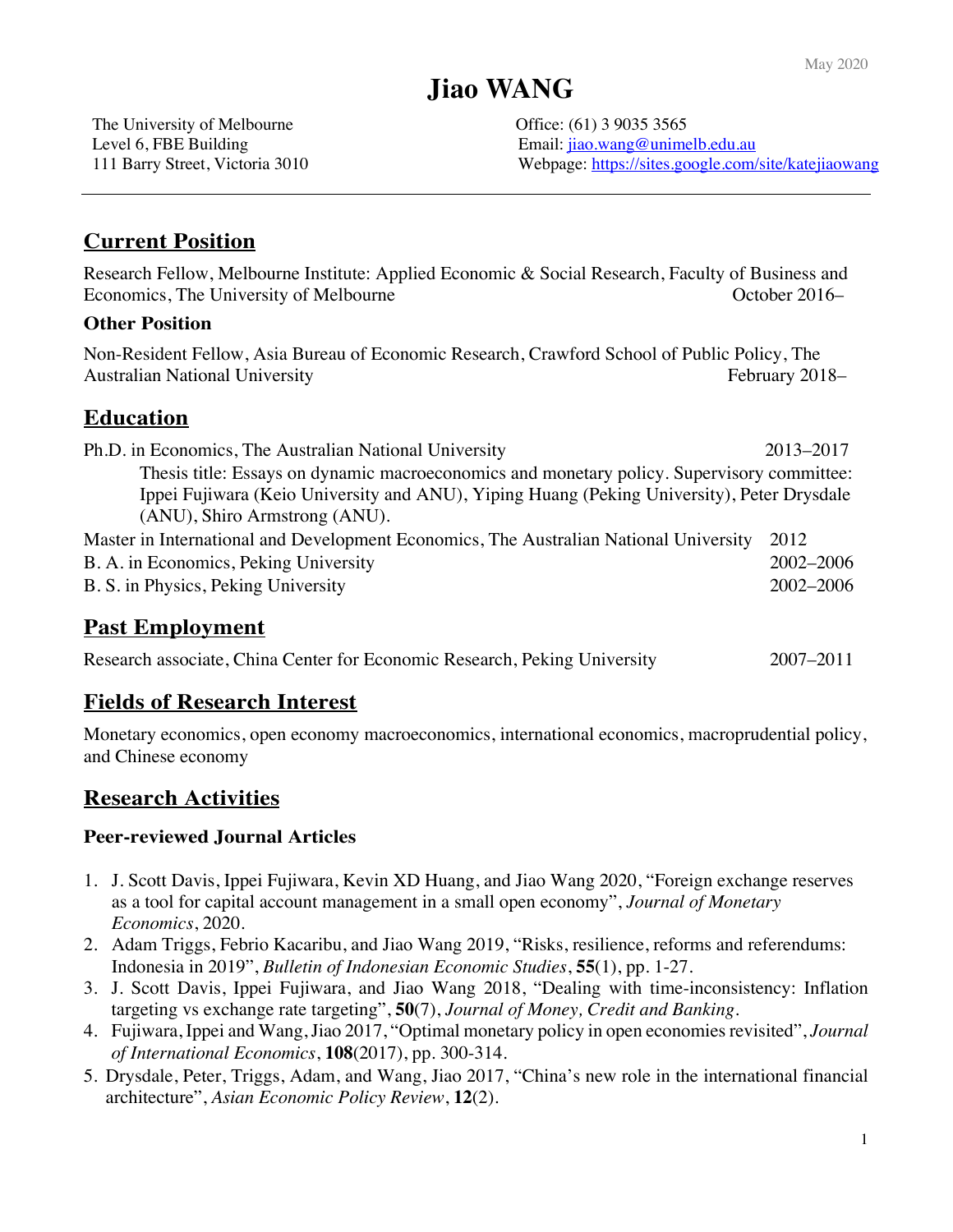# **Jiao WANG**

The University of Melbourne **Office:** (61) 3 9035 3565

Level 6, FBE Building **Email:** jiao.wang@unimelb.edu.au 111 Barry Street, Victoria 3010 Webpage: https://sites.google.com/site/katejiaowang

## **Current Position**

Research Fellow, Melbourne Institute: Applied Economic & Social Research, Faculty of Business and Economics, The University of Melbourne **Economics**, The University of Melbourne **October 2016** 

#### **Other Position**

Non-Resident Fellow, Asia Bureau of Economic Research, Crawford School of Public Policy, The Australian National University **February 2018** February 2018–

### **Education**

| Ph.D. in Economics, The Australian National University                                                                                                                                                                    | 2013-2017 |
|---------------------------------------------------------------------------------------------------------------------------------------------------------------------------------------------------------------------------|-----------|
| Thesis title: Essays on dynamic macroeconomics and monetary policy. Supervisory committee:<br>Ippei Fujiwara (Keio University and ANU), Yiping Huang (Peking University), Peter Drysdale<br>(ANU), Shiro Armstrong (ANU). |           |
| Master in International and Development Economics, The Australian National University                                                                                                                                     | 2012      |
| B. A. in Economics, Peking University                                                                                                                                                                                     | 2002-2006 |
| B. S. in Physics, Peking University                                                                                                                                                                                       | 2002-2006 |

# **Past Employment**

| Research associate, China Center for Economic Research, Peking University |  |  |  |  | $2007 - 2011$ |
|---------------------------------------------------------------------------|--|--|--|--|---------------|
|---------------------------------------------------------------------------|--|--|--|--|---------------|

### **Fields of Research Interest**

Monetary economics, open economy macroeconomics, international economics, macroprudential policy, and Chinese economy

# **Research Activities**

#### **Peer-reviewed Journal Articles**

- 1. J. Scott Davis, Ippei Fujiwara, Kevin XD Huang, and Jiao Wang 2020, "Foreign exchange reserves as a tool for capital account management in a small open economy", *Journal of Monetary Economics*, 2020.
- 2. Adam Triggs, Febrio Kacaribu, and Jiao Wang 2019, "Risks, resilience, reforms and referendums: Indonesia in 2019", *Bulletin of Indonesian Economic Studies*, **55**(1), pp. 1-27.
- 3. J. Scott Davis, Ippei Fujiwara, and Jiao Wang 2018, "Dealing with time-inconsistency: Inflation targeting vs exchange rate targeting", **50**(7), *Journal of Money, Credit and Banking*.
- 4. Fujiwara, Ippei and Wang, Jiao 2017, "Optimal monetary policy in open economies revisited", *Journal of International Economics*, **108**(2017), pp. 300-314.
- 5. Drysdale, Peter, Triggs, Adam, and Wang, Jiao 2017, "China's new role in the international financial architecture", *Asian Economic Policy Review*, **12**(2).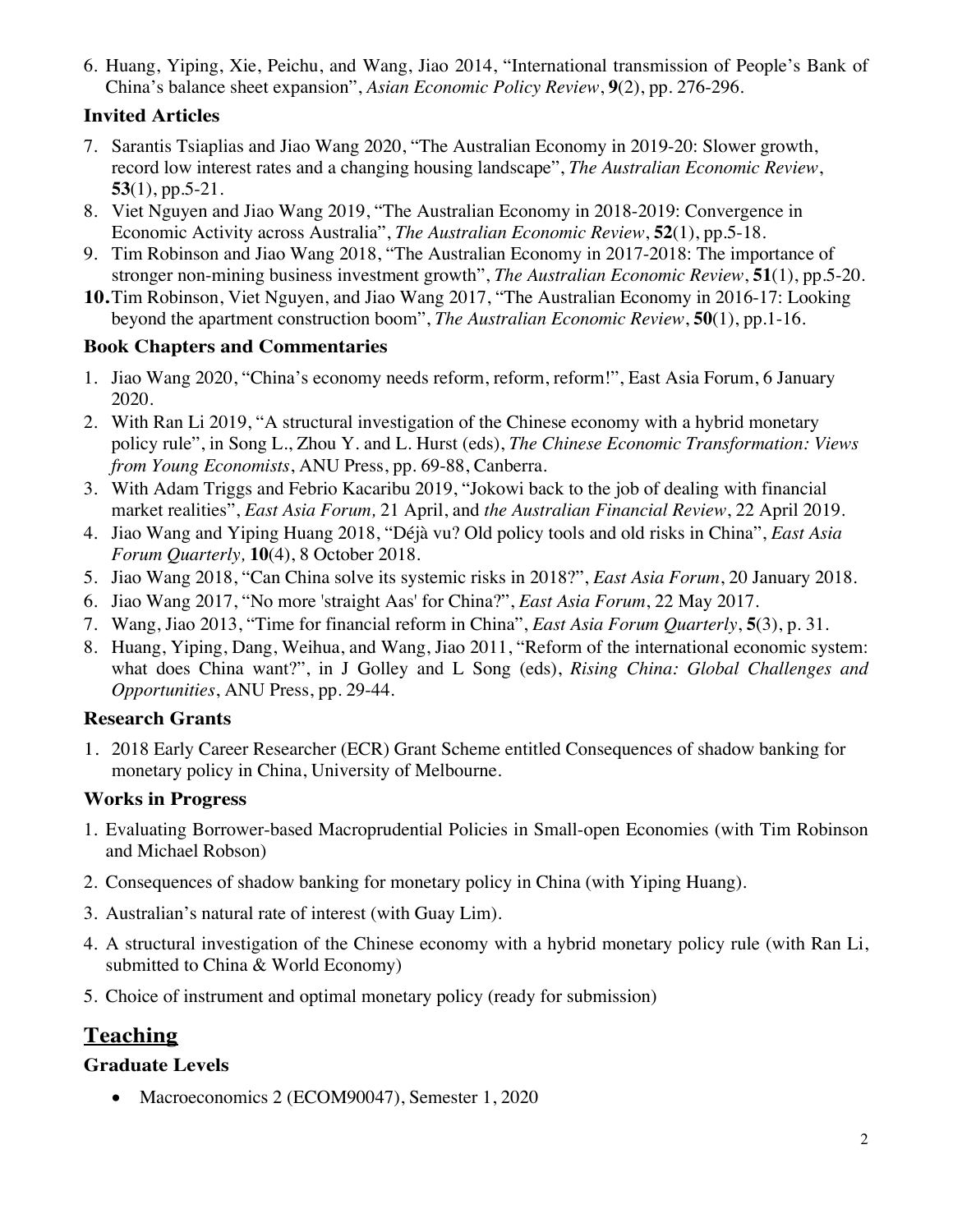6. Huang, Yiping, Xie, Peichu, and Wang, Jiao 2014, "International transmission of People's Bank of China's balance sheet expansion", *Asian Economic Policy Review*, **9**(2), pp. 276-296.

## **Invited Articles**

- 7. Sarantis Tsiaplias and Jiao Wang 2020, "The Australian Economy in 2019-20: Slower growth, record low interest rates and a changing housing landscape", *The Australian Economic Review*, **53**(1), pp.5-21.
- 8. Viet Nguyen and Jiao Wang 2019, "The Australian Economy in 2018-2019: Convergence in Economic Activity across Australia", *The Australian Economic Review*, **52**(1), pp.5-18.
- 9. Tim Robinson and Jiao Wang 2018, "The Australian Economy in 2017-2018: The importance of stronger non-mining business investment growth", *The Australian Economic Review*, **51**(1), pp.5-20.
- **10.**Tim Robinson, Viet Nguyen, and Jiao Wang 2017, "The Australian Economy in 2016-17: Looking beyond the apartment construction boom", *The Australian Economic Review*, **50**(1), pp.1-16.

### **Book Chapters and Commentaries**

- 1. Jiao Wang 2020, "China's economy needs reform, reform, reform!", East Asia Forum, 6 January 2020.
- 2. With Ran Li 2019, "A structural investigation of the Chinese economy with a hybrid monetary policy rule", in Song L., Zhou Y. and L. Hurst (eds), *The Chinese Economic Transformation: Views from Young Economists*, ANU Press, pp. 69-88, Canberra.
- 3. With Adam Triggs and Febrio Kacaribu 2019, "Jokowi back to the job of dealing with financial market realities", *East Asia Forum,* 21 April, and *the Australian Financial Review*, 22 April 2019.
- 4. Jiao Wang and Yiping Huang 2018, "Déjà vu? Old policy tools and old risks in China", *East Asia Forum Quarterly,* **10**(4), 8 October 2018.
- 5. Jiao Wang 2018, "Can China solve its systemic risks in 2018?", *East Asia Forum*, 20 January 2018.
- 6. Jiao Wang 2017, "No more 'straight Aas' for China?", *East Asia Forum*, 22 May 2017.
- 7. Wang, Jiao 2013, "Time for financial reform in China", *East Asia Forum Quarterly*, **5**(3), p. 31.
- 8. Huang, Yiping, Dang, Weihua, and Wang, Jiao 2011, "Reform of the international economic system: what does China want?", in J Golley and L Song (eds), *Rising China: Global Challenges and Opportunities*, ANU Press, pp. 29-44.

### **Research Grants**

1. 2018 Early Career Researcher (ECR) Grant Scheme entitled Consequences of shadow banking for monetary policy in China, University of Melbourne.

### **Works in Progress**

- 1. Evaluating Borrower-based Macroprudential Policies in Small-open Economies (with Tim Robinson and Michael Robson)
- 2. Consequences of shadow banking for monetary policy in China (with Yiping Huang).
- 3. Australian's natural rate of interest (with Guay Lim).
- 4. A structural investigation of the Chinese economy with a hybrid monetary policy rule (with Ran Li, submitted to China & World Economy)
- 5. Choice of instrument and optimal monetary policy (ready for submission)

# **Teaching**

### **Graduate Levels**

• Macroeconomics 2 (ECOM90047), Semester 1, 2020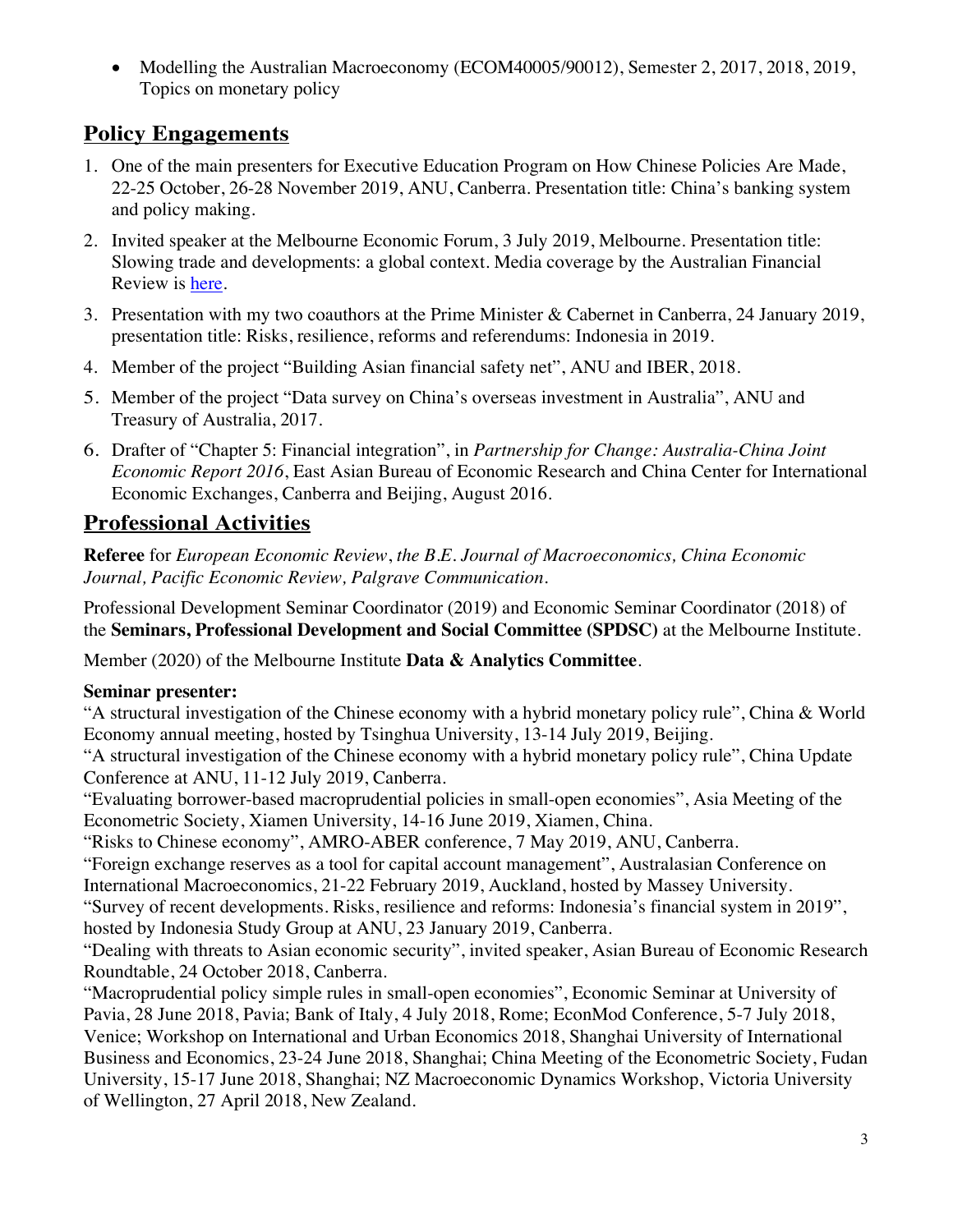• Modelling the Australian Macroeconomy (ECOM40005/90012), Semester 2, 2017, 2018, 2019, Topics on monetary policy

# **Policy Engagements**

- 1. One of the main presenters for Executive Education Program on How Chinese Policies Are Made, 22-25 October, 26-28 November 2019, ANU, Canberra. Presentation title: China's banking system and policy making.
- 2. Invited speaker at the Melbourne Economic Forum, 3 July 2019, Melbourne. Presentation title: Slowing trade and developments: a global context. Media coverage by the Australian Financial Review is here.
- 3. Presentation with my two coauthors at the Prime Minister & Cabernet in Canberra, 24 January 2019, presentation title: Risks, resilience, reforms and referendums: Indonesia in 2019.
- 4. Member of the project "Building Asian financial safety net", ANU and IBER, 2018.
- 5. Member of the project "Data survey on China's overseas investment in Australia", ANU and Treasury of Australia, 2017.
- 6. Drafter of "Chapter 5: Financial integration", in *Partnership for Change: Australia-China Joint Economic Report 2016*, East Asian Bureau of Economic Research and China Center for International Economic Exchanges, Canberra and Beijing, August 2016.

# **Professional Activities**

**Referee** for *European Economic Review*, *the B.E. Journal of Macroeconomics, China Economic Journal, Pacific Economic Review, Palgrave Communication*.

Professional Development Seminar Coordinator (2019) and Economic Seminar Coordinator (2018) of the **Seminars, Professional Development and Social Committee (SPDSC)** at the Melbourne Institute.

Member (2020) of the Melbourne Institute **Data & Analytics Committee**.

### **Seminar presenter:**

"A structural investigation of the Chinese economy with a hybrid monetary policy rule", China & World Economy annual meeting, hosted by Tsinghua University, 13-14 July 2019, Beijing.

"A structural investigation of the Chinese economy with a hybrid monetary policy rule", China Update Conference at ANU, 11-12 July 2019, Canberra.

"Evaluating borrower-based macroprudential policies in small-open economies", Asia Meeting of the Econometric Society, Xiamen University, 14-16 June 2019, Xiamen, China.

"Risks to Chinese economy", AMRO-ABER conference, 7 May 2019, ANU, Canberra.

"Foreign exchange reserves as a tool for capital account management", Australasian Conference on International Macroeconomics, 21-22 February 2019, Auckland, hosted by Massey University.

"Survey of recent developments. Risks, resilience and reforms: Indonesia's financial system in 2019", hosted by Indonesia Study Group at ANU, 23 January 2019, Canberra.

"Dealing with threats to Asian economic security", invited speaker, Asian Bureau of Economic Research Roundtable, 24 October 2018, Canberra.

"Macroprudential policy simple rules in small-open economies", Economic Seminar at University of Pavia, 28 June 2018, Pavia; Bank of Italy, 4 July 2018, Rome; EconMod Conference, 5-7 July 2018, Venice; Workshop on International and Urban Economics 2018, Shanghai University of International Business and Economics, 23-24 June 2018, Shanghai; China Meeting of the Econometric Society, Fudan University, 15-17 June 2018, Shanghai; NZ Macroeconomic Dynamics Workshop, Victoria University of Wellington, 27 April 2018, New Zealand.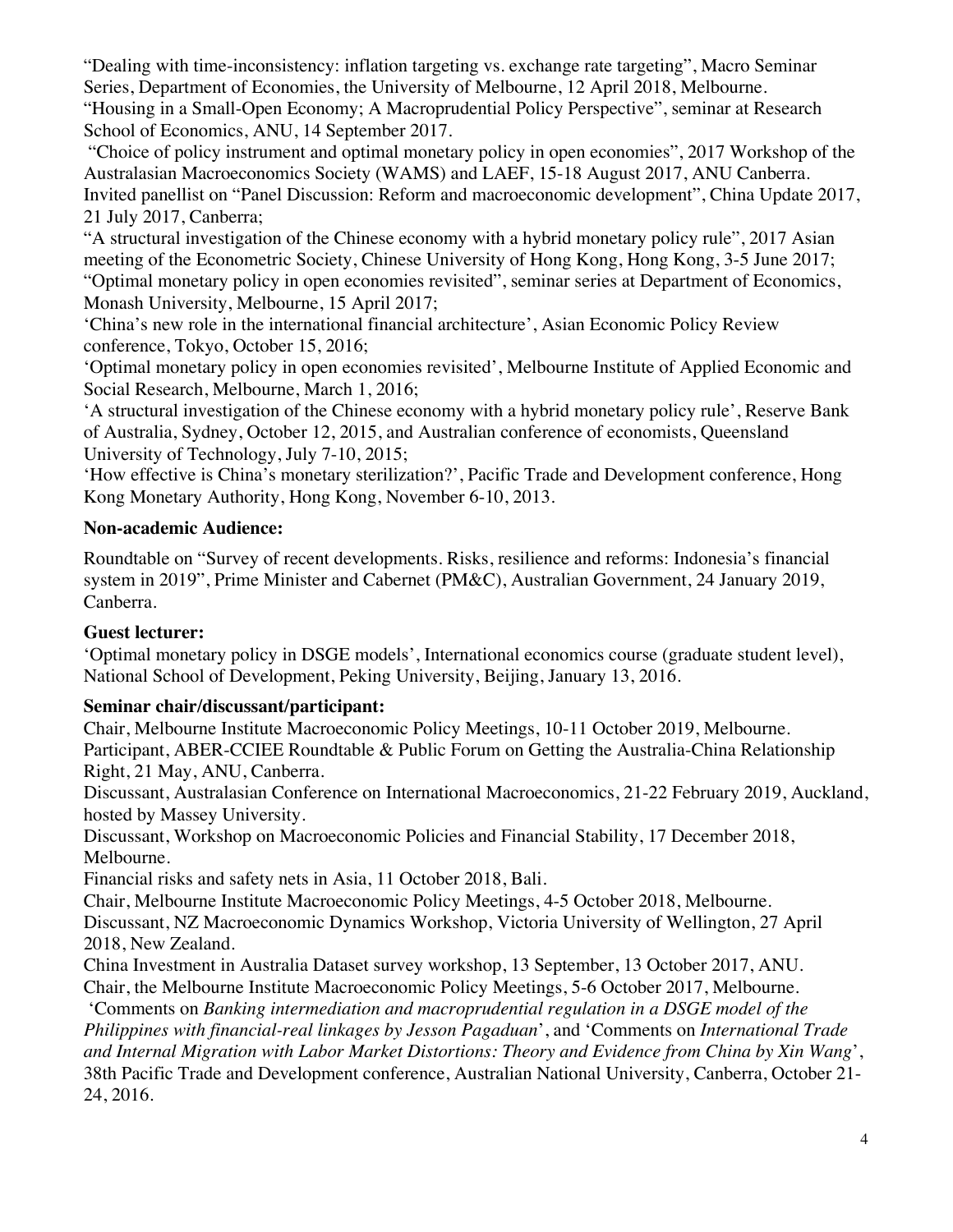"Dealing with time-inconsistency: inflation targeting vs. exchange rate targeting", Macro Seminar Series, Department of Economies, the University of Melbourne, 12 April 2018, Melbourne. "Housing in a Small-Open Economy; A Macroprudential Policy Perspective", seminar at Research

School of Economics, ANU, 14 September 2017.

"Choice of policy instrument and optimal monetary policy in open economies", 2017 Workshop of the Australasian Macroeconomics Society (WAMS) and LAEF, 15-18 August 2017, ANU Canberra. Invited panellist on "Panel Discussion: Reform and macroeconomic development", China Update 2017, 21 July 2017, Canberra;

"A structural investigation of the Chinese economy with a hybrid monetary policy rule", 2017 Asian meeting of the Econometric Society, Chinese University of Hong Kong, Hong Kong, 3-5 June 2017; "Optimal monetary policy in open economies revisited", seminar series at Department of Economics, Monash University, Melbourne, 15 April 2017;

'China's new role in the international financial architecture', Asian Economic Policy Review conference, Tokyo, October 15, 2016;

'Optimal monetary policy in open economies revisited', Melbourne Institute of Applied Economic and Social Research, Melbourne, March 1, 2016;

'A structural investigation of the Chinese economy with a hybrid monetary policy rule', Reserve Bank of Australia, Sydney, October 12, 2015, and Australian conference of economists, Queensland University of Technology, July 7-10, 2015;

'How effective is China's monetary sterilization?', Pacific Trade and Development conference, Hong Kong Monetary Authority, Hong Kong, November 6-10, 2013.

### **Non-academic Audience:**

Roundtable on "Survey of recent developments. Risks, resilience and reforms: Indonesia's financial system in 2019", Prime Minister and Cabernet (PM&C), Australian Government, 24 January 2019, Canberra.

### **Guest lecturer:**

'Optimal monetary policy in DSGE models', International economics course (graduate student level), National School of Development, Peking University, Beijing, January 13, 2016.

### **Seminar chair/discussant/participant:**

Chair, Melbourne Institute Macroeconomic Policy Meetings, 10-11 October 2019, Melbourne. Participant, ABER-CCIEE Roundtable & Public Forum on Getting the Australia-China Relationship Right, 21 May, ANU, Canberra.

Discussant, Australasian Conference on International Macroeconomics, 21-22 February 2019, Auckland, hosted by Massey University.

Discussant, Workshop on Macroeconomic Policies and Financial Stability, 17 December 2018, Melbourne.

Financial risks and safety nets in Asia, 11 October 2018, Bali.

Chair, Melbourne Institute Macroeconomic Policy Meetings, 4-5 October 2018, Melbourne.

Discussant, NZ Macroeconomic Dynamics Workshop, Victoria University of Wellington, 27 April 2018, New Zealand.

China Investment in Australia Dataset survey workshop, 13 September, 13 October 2017, ANU. Chair, the Melbourne Institute Macroeconomic Policy Meetings, 5-6 October 2017, Melbourne.

'Comments on *Banking intermediation and macroprudential regulation in a DSGE model of the Philippines with financial-real linkages by Jesson Pagaduan*', and 'Comments on *International Trade and Internal Migration with Labor Market Distortions: Theory and Evidence from China by Xin Wang*', 38th Pacific Trade and Development conference, Australian National University, Canberra, October 21- 24, 2016.